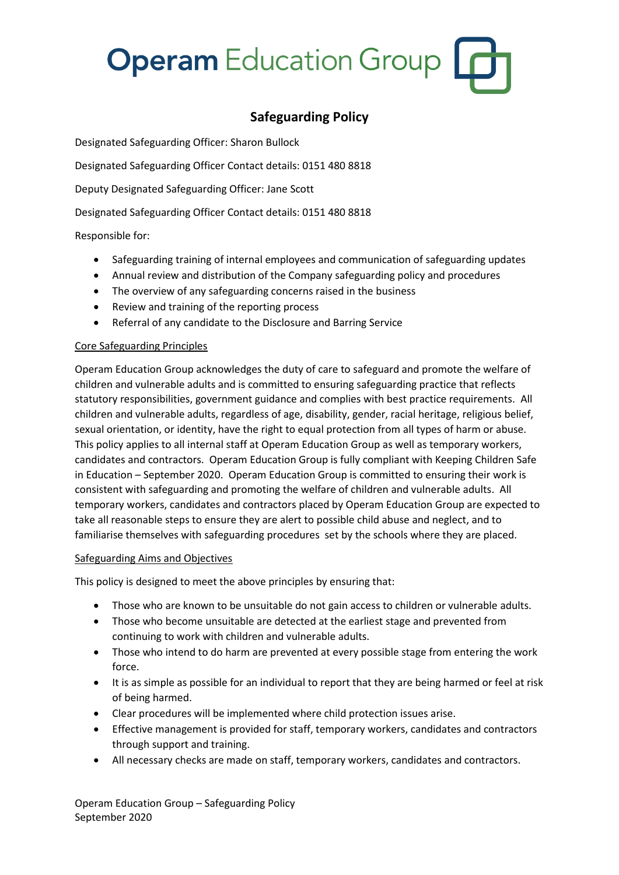### **Safeguarding Policy**

Designated Safeguarding Officer: Sharon Bullock

Designated Safeguarding Officer Contact details: 0151 480 8818

Deputy Designated Safeguarding Officer: Jane Scott

Designated Safeguarding Officer Contact details: 0151 480 8818

#### Responsible for:

- Safeguarding training of internal employees and communication of safeguarding updates
- Annual review and distribution of the Company safeguarding policy and procedures
- The overview of any safeguarding concerns raised in the business
- Review and training of the reporting process
- Referral of any candidate to the Disclosure and Barring Service

#### Core Safeguarding Principles

Operam Education Group acknowledges the duty of care to safeguard and promote the welfare of children and vulnerable adults and is committed to ensuring safeguarding practice that reflects statutory responsibilities, government guidance and complies with best practice requirements. All children and vulnerable adults, regardless of age, disability, gender, racial heritage, religious belief, sexual orientation, or identity, have the right to equal protection from all types of harm or abuse. This policy applies to all internal staff at Operam Education Group as well as temporary workers, candidates and contractors. Operam Education Group is fully compliant with Keeping Children Safe in Education – September 2020. Operam Education Group is committed to ensuring their work is consistent with safeguarding and promoting the welfare of children and vulnerable adults. All temporary workers, candidates and contractors placed by Operam Education Group are expected to take all reasonable steps to ensure they are alert to possible child abuse and neglect, and to familiarise themselves with safeguarding procedures set by the schools where they are placed.

#### Safeguarding Aims and Objectives

This policy is designed to meet the above principles by ensuring that:

- Those who are known to be unsuitable do not gain access to children or vulnerable adults.
- Those who become unsuitable are detected at the earliest stage and prevented from continuing to work with children and vulnerable adults.
- Those who intend to do harm are prevented at every possible stage from entering the work force.
- It is as simple as possible for an individual to report that they are being harmed or feel at risk of being harmed.
- Clear procedures will be implemented where child protection issues arise.
- Effective management is provided for staff, temporary workers, candidates and contractors through support and training.
- All necessary checks are made on staff, temporary workers, candidates and contractors.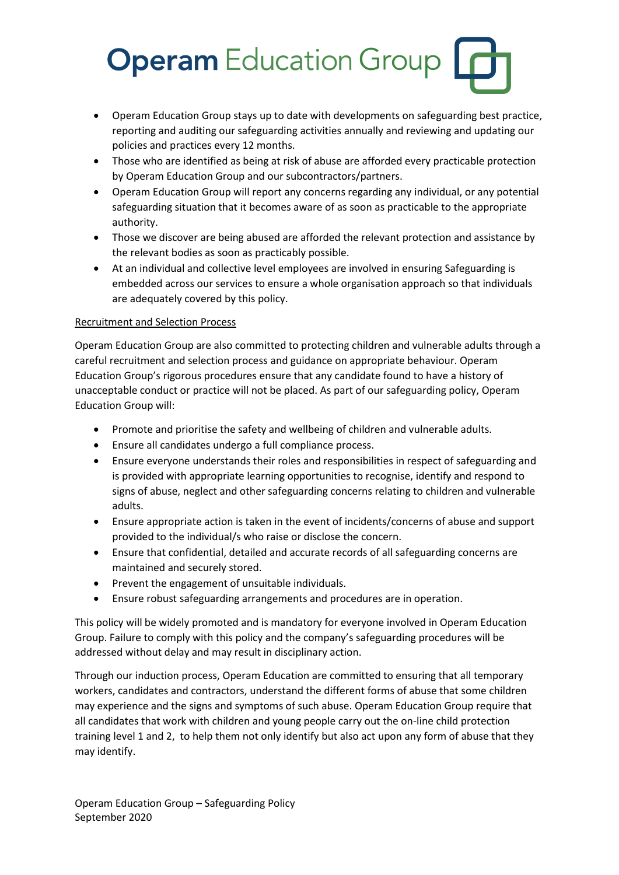- Operam Education Group stays up to date with developments on safeguarding best practice, reporting and auditing our safeguarding activities annually and reviewing and updating our policies and practices every 12 months.
- Those who are identified as being at risk of abuse are afforded every practicable protection by Operam Education Group and our subcontractors/partners.
- Operam Education Group will report any concerns regarding any individual, or any potential safeguarding situation that it becomes aware of as soon as practicable to the appropriate authority.
- Those we discover are being abused are afforded the relevant protection and assistance by the relevant bodies as soon as practicably possible.
- At an individual and collective level employees are involved in ensuring Safeguarding is embedded across our services to ensure a whole organisation approach so that individuals are adequately covered by this policy.

#### Recruitment and Selection Process

Operam Education Group are also committed to protecting children and vulnerable adults through a careful recruitment and selection process and guidance on appropriate behaviour. Operam Education Group's rigorous procedures ensure that any candidate found to have a history of unacceptable conduct or practice will not be placed. As part of our safeguarding policy, Operam Education Group will:

- Promote and prioritise the safety and wellbeing of children and vulnerable adults.
- Ensure all candidates undergo a full compliance process.
- Ensure everyone understands their roles and responsibilities in respect of safeguarding and is provided with appropriate learning opportunities to recognise, identify and respond to signs of abuse, neglect and other safeguarding concerns relating to children and vulnerable adults.
- Ensure appropriate action is taken in the event of incidents/concerns of abuse and support provided to the individual/s who raise or disclose the concern.
- Ensure that confidential, detailed and accurate records of all safeguarding concerns are maintained and securely stored.
- Prevent the engagement of unsuitable individuals.
- Ensure robust safeguarding arrangements and procedures are in operation.

This policy will be widely promoted and is mandatory for everyone involved in Operam Education Group. Failure to comply with this policy and the company's safeguarding procedures will be addressed without delay and may result in disciplinary action.

Through our induction process, Operam Education are committed to ensuring that all temporary workers, candidates and contractors, understand the different forms of abuse that some children may experience and the signs and symptoms of such abuse. Operam Education Group require that all candidates that work with children and young people carry out the on-line child protection training level 1 and 2, to help them not only identify but also act upon any form of abuse that they may identify.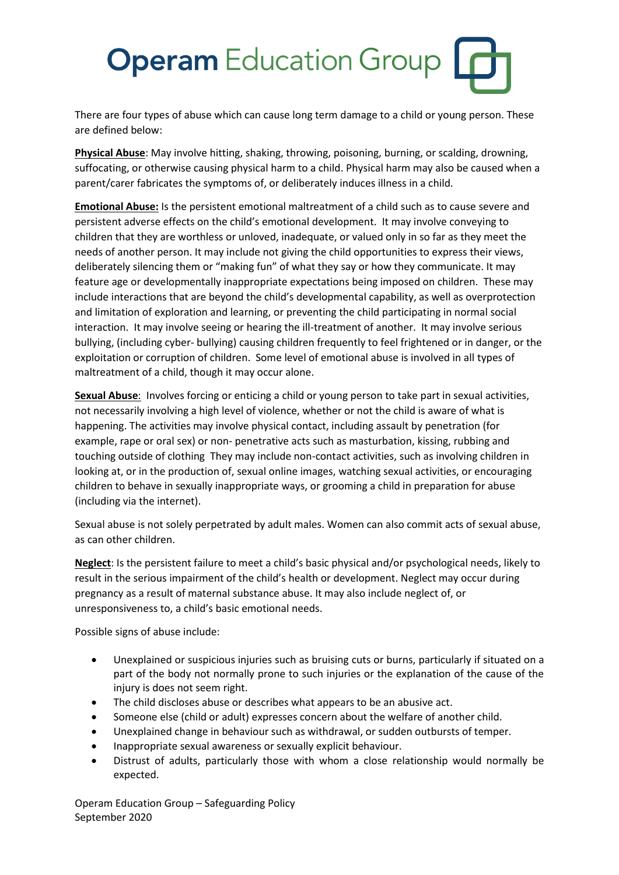There are four types of abuse which can cause long term damage to a child or young person. These are defined below:

**Physical Abuse**: May involve hitting, shaking, throwing, poisoning, burning, or scalding, drowning, suffocating, or otherwise causing physical harm to a child. Physical harm may also be caused when a parent/carer fabricates the symptoms of, or deliberately induces illness in a child.

**Emotional Abuse:** Is the persistent emotional maltreatment of a child such as to cause severe and persistent adverse effects on the child's emotional development. It may involve conveying to children that they are worthless or unloved, inadequate, or valued only in so far as they meet the needs of another person. It may include not giving the child opportunities to express their views, deliberately silencing them or "making fun" of what they say or how they communicate. It may feature age or developmentally inappropriate expectations being imposed on children. These may include interactions that are beyond the child's developmental capability, as well as overprotection and limitation of exploration and learning, or preventing the child participating in normal social interaction. It may involve seeing or hearing the ill-treatment of another. It may involve serious bullying, (including cyber- bullying) causing children frequently to feel frightened or in danger, or the exploitation or corruption of children. Some level of emotional abuse is involved in all types of maltreatment of a child, though it may occur alone.

**Sexual Abuse**: Involves forcing or enticing a child or young person to take part in sexual activities, not necessarily involving a high level of violence, whether or not the child is aware of what is happening. The activities may involve physical contact, including assault by penetration (for example, rape or oral sex) or non- penetrative acts such as masturbation, kissing, rubbing and touching outside of clothing They may include non-contact activities, such as involving children in looking at, or in the production of, sexual online images, watching sexual activities, or encouraging children to behave in sexually inappropriate ways, or grooming a child in preparation for abuse (including via the internet).

Sexual abuse is not solely perpetrated by adult males. Women can also commit acts of sexual abuse, as can other children.

**Neglect**: Is the persistent failure to meet a child's basic physical and/or psychological needs, likely to result in the serious impairment of the child's health or development. Neglect may occur during pregnancy as a result of maternal substance abuse. It may also include neglect of, or unresponsiveness to, a child's basic emotional needs.

Possible signs of abuse include:

- Unexplained or suspicious injuries such as bruising cuts or burns, particularly if situated on a part of the body not normally prone to such injuries or the explanation of the cause of the injury is does not seem right.
- The child discloses abuse or describes what appears to be an abusive act.
- Someone else (child or adult) expresses concern about the welfare of another child.
- Unexplained change in behaviour such as withdrawal, or sudden outbursts of temper.
- Inappropriate sexual awareness or sexually explicit behaviour.
- Distrust of adults, particularly those with whom a close relationship would normally be expected.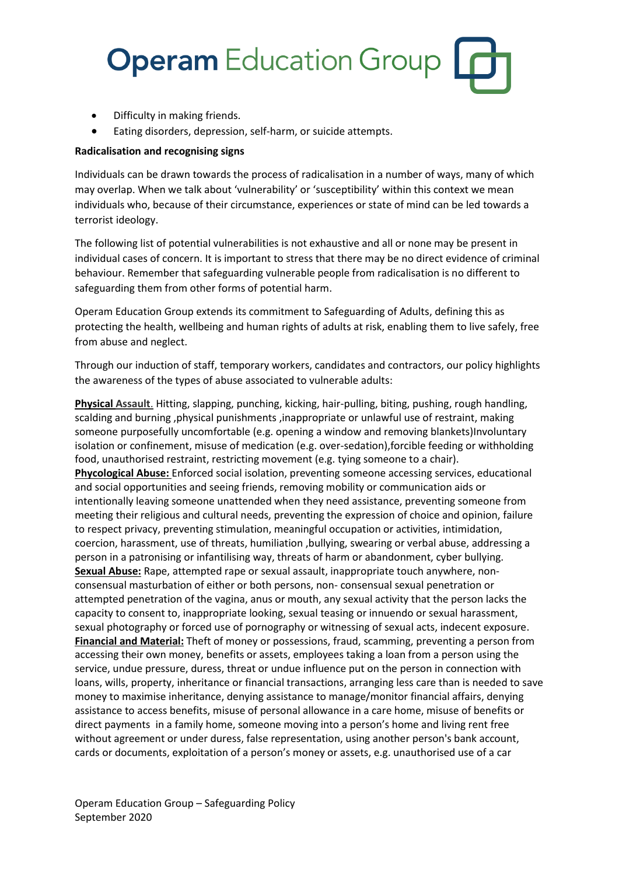- Difficulty in making friends.
- Eating disorders, depression, self-harm, or suicide attempts.

#### **Radicalisation and recognising signs**

Individuals can be drawn towards the process of radicalisation in a number of ways, many of which may overlap. When we talk about 'vulnerability' or 'susceptibility' within this context we mean individuals who, because of their circumstance, experiences or state of mind can be led towards a terrorist ideology.

The following list of potential vulnerabilities is not exhaustive and all or none may be present in individual cases of concern. It is important to stress that there may be no direct evidence of criminal behaviour. Remember that safeguarding vulnerable people from radicalisation is no different to safeguarding them from other forms of potential harm.

Operam Education Group extends its commitment to Safeguarding of Adults, defining this as protecting the health, wellbeing and human rights of adults at risk, enabling them to live safely, free from abuse and neglect.

Through our induction of staff, temporary workers, candidates and contractors, our policy highlights the awareness of the types of abuse associated to vulnerable adults:

**Physical Assault**. Hitting, slapping, punching, kicking, hair-pulling, biting, pushing, rough handling, scalding and burning ,physical punishments ,inappropriate or unlawful use of restraint, making someone purposefully uncomfortable (e.g. opening a window and removing blankets)Involuntary isolation or confinement, misuse of medication (e.g. over-sedation),forcible feeding or withholding food, unauthorised restraint, restricting movement (e.g. tying someone to a chair). **Phycological Abuse:** Enforced social isolation, preventing someone accessing services, educational and social opportunities and seeing friends, removing mobility or communication aids or intentionally leaving someone unattended when they need assistance, preventing someone from meeting their religious and cultural needs, preventing the expression of choice and opinion, failure to respect privacy, preventing stimulation, meaningful occupation or activities, intimidation, coercion, harassment, use of threats, humiliation ,bullying, swearing or verbal abuse, addressing a person in a patronising or infantilising way, threats of harm or abandonment, cyber bullying. **Sexual Abuse:** Rape, attempted rape or sexual assault, inappropriate touch anywhere, nonconsensual masturbation of either or both persons, non- consensual sexual penetration or attempted penetration of the vagina, anus or mouth, any sexual activity that the person lacks the capacity to consent to, inappropriate looking, sexual teasing or innuendo or sexual harassment, sexual photography or forced use of pornography or witnessing of sexual acts, indecent exposure. **Financial and Material:** Theft of money or possessions, fraud, scamming, preventing a person from accessing their own money, benefits or assets, employees taking a loan from a person using the service, undue pressure, duress, threat or undue influence put on the person in connection with loans, wills, property, inheritance or financial transactions, arranging less care than is needed to save money to maximise inheritance, denying assistance to manage/monitor financial affairs, denying assistance to access benefits, misuse of personal allowance in a care home, misuse of benefits or direct payments in a family home, someone moving into a person's home and living rent free without agreement or under duress, false representation, using another person's bank account, cards or documents, exploitation of a person's money or assets, e.g. unauthorised use of a car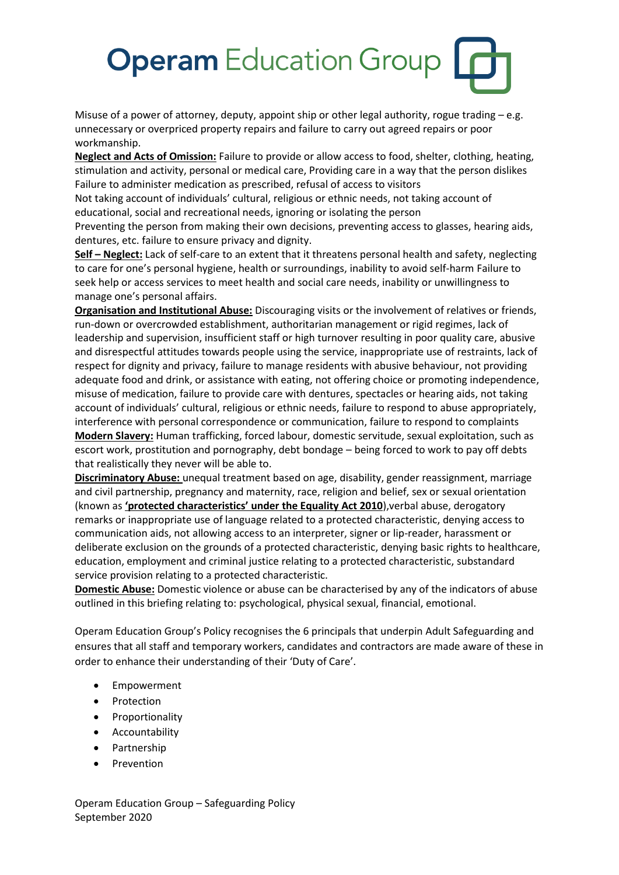Misuse of a power of attorney, deputy, appoint ship or other legal authority, rogue trading  $-e.g.$ unnecessary or overpriced property repairs and failure to carry out agreed repairs or poor workmanship.

**Neglect and Acts of Omission:** Failure to provide or allow access to food, shelter, clothing, heating, stimulation and activity, personal or medical care, Providing care in a way that the person dislikes Failure to administer medication as prescribed, refusal of access to visitors

Not taking account of individuals' cultural, religious or ethnic needs, not taking account of educational, social and recreational needs, ignoring or isolating the person

Preventing the person from making their own decisions, preventing access to glasses, hearing aids, dentures, etc. failure to ensure privacy and dignity.

**Self – Neglect:** Lack of self-care to an extent that it threatens personal health and safety, neglecting to care for one's personal hygiene, health or surroundings, inability to avoid self-harm Failure to seek help or access services to meet health and social care needs, inability or unwillingness to manage one's personal affairs.

**Organisation and Institutional Abuse:** Discouraging visits or the involvement of relatives or friends, run-down or overcrowded establishment, authoritarian management or rigid regimes, lack of leadership and supervision, insufficient staff or high turnover resulting in poor quality care, abusive and disrespectful attitudes towards people using the service, inappropriate use of restraints, lack of respect for dignity and privacy, failure to manage residents with abusive behaviour, not providing adequate food and drink, or assistance with eating, not offering choice or promoting independence, misuse of medication, failure to provide care with dentures, spectacles or hearing aids, not taking account of individuals' cultural, religious or ethnic needs, failure to respond to abuse appropriately, interference with personal correspondence or communication, failure to respond to complaints **Modern Slavery:** Human trafficking, forced labour, domestic servitude, sexual exploitation, such as escort work, prostitution and pornography, debt bondage – being forced to work to pay off debts that realistically they never will be able to.

**Discriminatory Abuse:** unequal treatment based on age, disability, gender reassignment, marriage and civil partnership, pregnancy and maternity, race, religion and belief, sex or sexual orientation (known as **'protected [characteristics'](https://www.equalityhumanrights.com/en/equality-act/protected-characteristics) under the Equality Act 2010**),verbal abuse, derogatory remarks or inappropriate use of language related to a protected characteristic, denying access to communication aids, not allowing access to an interpreter, signer or lip-reader, harassment or deliberate exclusion on the grounds of a protected characteristic, denying basic rights to healthcare, education, employment and criminal justice relating to a protected characteristic, substandard service provision relating to a protected characteristic.

**Domestic Abuse:** Domestic violence or abuse can be characterised by any of the indicators of abuse outlined in this briefing relating to: psychological, physical sexual, financial, emotional.

Operam Education Group's Policy recognises the 6 principals that underpin Adult Safeguarding and ensures that all staff and temporary workers, candidates and contractors are made aware of these in order to enhance their understanding of their 'Duty of Care'.

- Empowerment
- Protection
- Proportionality
- Accountability
- Partnership
- Prevention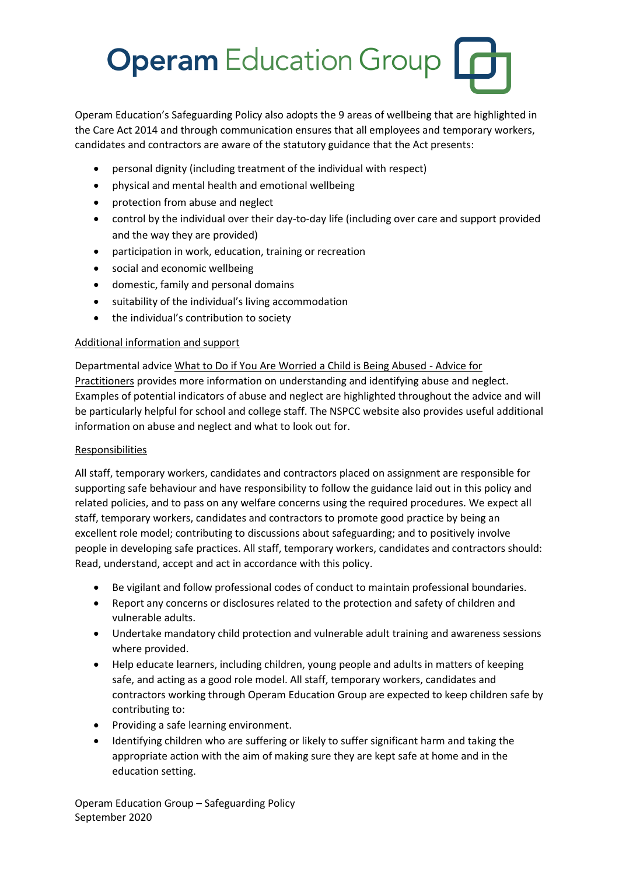Operam Education's Safeguarding Policy also adopts the 9 areas of wellbeing that are highlighted in the Care Act 2014 and through communication ensures that all employees and temporary workers, candidates and contractors are aware of the statutory guidance that the Act presents:

- personal dignity (including treatment of the individual with respect)
- physical and mental health and emotional wellbeing
- protection from abuse and neglect
- control by the individual over their day-to-day life (including over care and support provided and the way they are provided)
- participation in work, education, training or recreation
- social and economic wellbeing
- domestic, family and personal domains
- suitability of the individual's living accommodation
- the individual's contribution to society

#### Additional information and support

Departmental advice What to Do if You Are Worried a Child is Being Abused - Advice for Practitioners provides more information on understanding and identifying abuse and neglect. Examples of potential indicators of abuse and neglect are highlighted throughout the advice and will be particularly helpful for school and college staff. The NSPCC website also provides useful additional information on abuse and neglect and what to look out for.

#### Responsibilities

All staff, temporary workers, candidates and contractors placed on assignment are responsible for supporting safe behaviour and have responsibility to follow the guidance laid out in this policy and related policies, and to pass on any welfare concerns using the required procedures. We expect all staff, temporary workers, candidates and contractors to promote good practice by being an excellent role model; contributing to discussions about safeguarding; and to positively involve people in developing safe practices. All staff, temporary workers, candidates and contractors should: Read, understand, accept and act in accordance with this policy.

- Be vigilant and follow professional codes of conduct to maintain professional boundaries.
- Report any concerns or disclosures related to the protection and safety of children and vulnerable adults.
- Undertake mandatory child protection and vulnerable adult training and awareness sessions where provided.
- Help educate learners, including children, young people and adults in matters of keeping safe, and acting as a good role model. All staff, temporary workers, candidates and contractors working through Operam Education Group are expected to keep children safe by contributing to:
- Providing a safe learning environment.
- Identifying children who are suffering or likely to suffer significant harm and taking the appropriate action with the aim of making sure they are kept safe at home and in the education setting.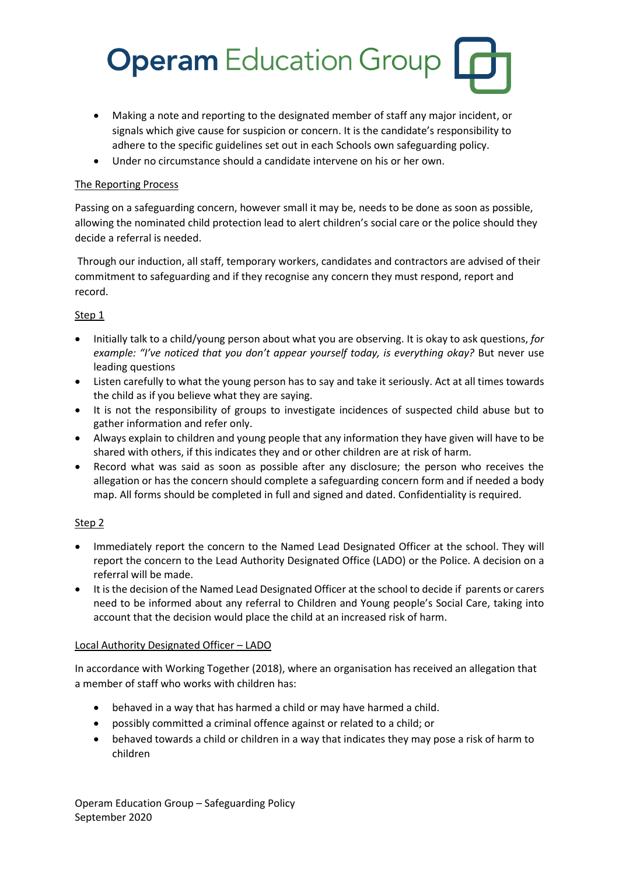- Making a note and reporting to the designated member of staff any major incident, or signals which give cause for suspicion or concern. It is the candidate's responsibility to adhere to the specific guidelines set out in each Schools own safeguarding policy.
- Under no circumstance should a candidate intervene on his or her own.

#### The Reporting Process

Passing on a safeguarding concern, however small it may be, needs to be done as soon as possible, allowing the nominated child protection lead to alert children's social care or the police should they decide a referral is needed.

Through our induction, all staff, temporary workers, candidates and contractors are advised of their commitment to safeguarding and if they recognise any concern they must respond, report and record.

#### Step 1

- Initially talk to a child/young person about what you are observing. It is okay to ask questions, *for example: "I've noticed that you don't appear yourself today, is everything okay?* But never use leading questions
- Listen carefully to what the young person has to say and take it seriously. Act at all times towards the child as if you believe what they are saying.
- It is not the responsibility of groups to investigate incidences of suspected child abuse but to gather information and refer only.
- Always explain to children and young people that any information they have given will have to be shared with others, if this indicates they and or other children are at risk of harm.
- Record what was said as soon as possible after any disclosure; the person who receives the allegation or has the concern should complete a safeguarding concern form and if needed a body map. All forms should be completed in full and signed and dated. Confidentiality is required.

#### Step 2

- Immediately report the concern to the Named Lead Designated Officer at the school. They will report the concern to the Lead Authority Designated Office (LADO) or the Police. A decision on a referral will be made.
- It is the decision of the Named Lead Designated Officer at the school to decide if parents or carers need to be informed about any referral to Children and Young people's Social Care, taking into account that the decision would place the child at an increased risk of harm.

#### Local Authority Designated Officer – LADO

In accordance with Working Together (2018), where an organisation has received an allegation that a member of staff who works with children has:

- behaved in a way that has harmed a child or may have harmed a child.
- possibly committed a criminal offence against or related to a child; or
- behaved towards a child or children in a way that indicates they may pose a risk of harm to children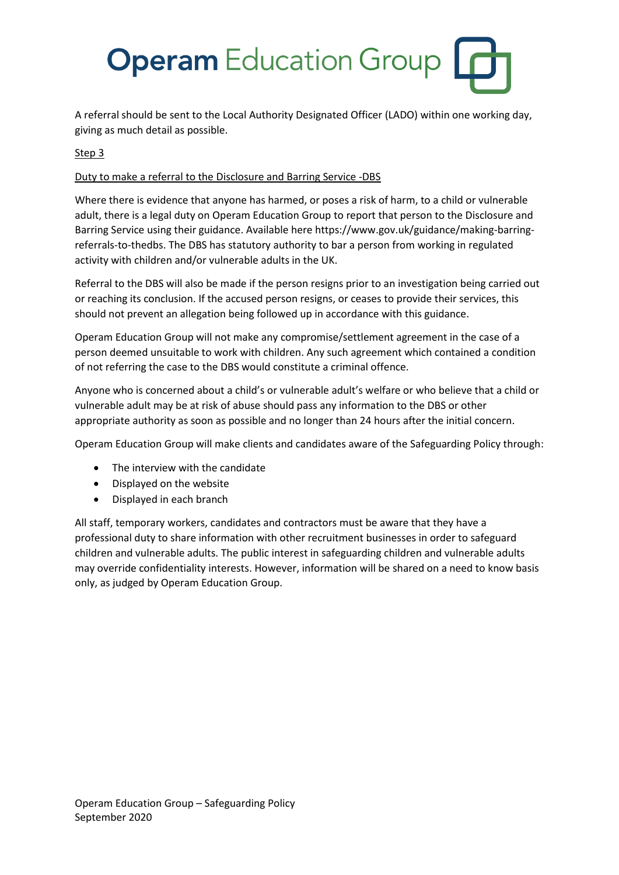A referral should be sent to the Local Authority Designated Officer (LADO) within one working day, giving as much detail as possible.

Step 3

#### Duty to make a referral to the Disclosure and Barring Service -DBS

Where there is evidence that anyone has harmed, or poses a risk of harm, to a child or vulnerable adult, there is a legal duty on Operam Education Group to report that person to the Disclosure and Barring Service using their guidance. Available here https://www.gov.uk/guidance/making-barringreferrals-to-thedbs. The DBS has statutory authority to bar a person from working in regulated activity with children and/or vulnerable adults in the UK.

Referral to the DBS will also be made if the person resigns prior to an investigation being carried out or reaching its conclusion. If the accused person resigns, or ceases to provide their services, this should not prevent an allegation being followed up in accordance with this guidance.

Operam Education Group will not make any compromise/settlement agreement in the case of a person deemed unsuitable to work with children. Any such agreement which contained a condition of not referring the case to the DBS would constitute a criminal offence.

Anyone who is concerned about a child's or vulnerable adult's welfare or who believe that a child or vulnerable adult may be at risk of abuse should pass any information to the DBS or other appropriate authority as soon as possible and no longer than 24 hours after the initial concern.

Operam Education Group will make clients and candidates aware of the Safeguarding Policy through:

- The interview with the candidate
- Displayed on the website
- Displayed in each branch

All staff, temporary workers, candidates and contractors must be aware that they have a professional duty to share information with other recruitment businesses in order to safeguard children and vulnerable adults. The public interest in safeguarding children and vulnerable adults may override confidentiality interests. However, information will be shared on a need to know basis only, as judged by Operam Education Group.